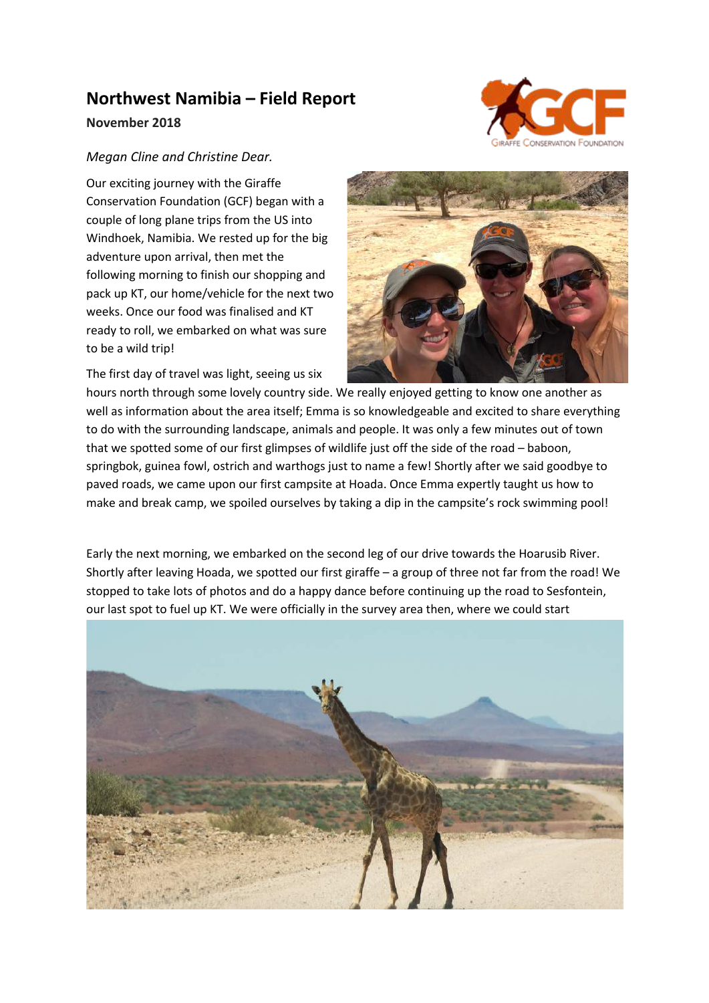## **Northwest Namibia – Field Report**



## **November 2018**

## *Megan Cline and Christine Dear.*

Our exciting journey with the Giraffe Conservation Foundation (GCF) began with a couple of long plane trips from the US into Windhoek, Namibia. We rested up for the big adventure upon arrival, then met the following morning to finish our shopping and pack up KT, our home/vehicle for the next two weeks. Once our food was finalised and KT ready to roll, we embarked on what was sure to be a wild trip!

The first day of travel was light, seeing us six



hours north through some lovely country side. We really enjoyed getting to know one another as well as information about the area itself; Emma is so knowledgeable and excited to share everything to do with the surrounding landscape, animals and people. It was only a few minutes out of town that we spotted some of our first glimpses of wildlife just off the side of the road – baboon, springbok, guinea fowl, ostrich and warthogs just to name a few! Shortly after we said goodbye to paved roads, we came upon our first campsite at Hoada. Once Emma expertly taught us how to make and break camp, we spoiled ourselves by taking a dip in the campsite's rock swimming pool!

Early the next morning, we embarked on the second leg of our drive towards the Hoarusib River. Shortly after leaving Hoada, we spotted our first giraffe – a group of three not far from the road! We stopped to take lots of photos and do a happy dance before continuing up the road to Sesfontein, our last spot to fuel up KT. We were officially in the survey area then, where we could start

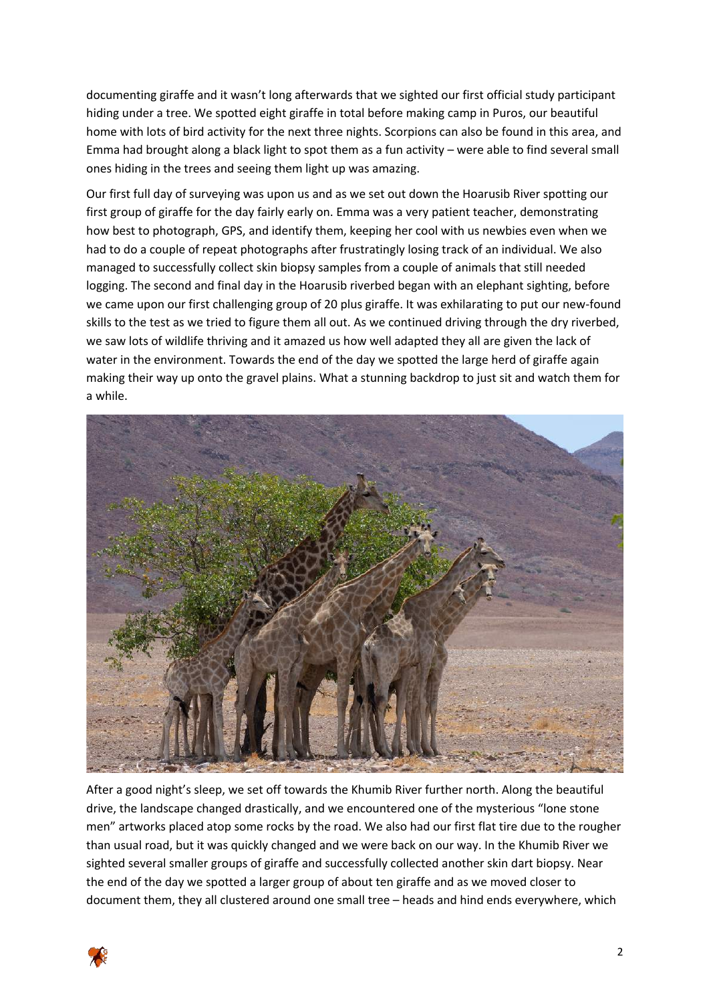documenting giraffe and it wasn't long afterwards that we sighted our first official study participant hiding under a tree. We spotted eight giraffe in total before making camp in Puros, our beautiful home with lots of bird activity for the next three nights. Scorpions can also be found in this area, and Emma had brought along a black light to spot them as a fun activity – were able to find several small ones hiding in the trees and seeing them light up was amazing.

Our first full day of surveying was upon us and as we set out down the Hoarusib River spotting our first group of giraffe for the day fairly early on. Emma was a very patient teacher, demonstrating how best to photograph, GPS, and identify them, keeping her cool with us newbies even when we had to do a couple of repeat photographs after frustratingly losing track of an individual. We also managed to successfully collect skin biopsy samples from a couple of animals that still needed logging. The second and final day in the Hoarusib riverbed began with an elephant sighting, before we came upon our first challenging group of 20 plus giraffe. It was exhilarating to put our new-found skills to the test as we tried to figure them all out. As we continued driving through the dry riverbed, we saw lots of wildlife thriving and it amazed us how well adapted they all are given the lack of water in the environment. Towards the end of the day we spotted the large herd of giraffe again making their way up onto the gravel plains. What a stunning backdrop to just sit and watch them for a while.



After a good night's sleep, we set off towards the Khumib River further north. Along the beautiful drive, the landscape changed drastically, and we encountered one of the mysterious "lone stone men" artworks placed atop some rocks by the road. We also had our first flat tire due to the rougher than usual road, but it was quickly changed and we were back on our way. In the Khumib River we sighted several smaller groups of giraffe and successfully collected another skin dart biopsy. Near the end of the day we spotted a larger group of about ten giraffe and as we moved closer to document them, they all clustered around one small tree – heads and hind ends everywhere, which

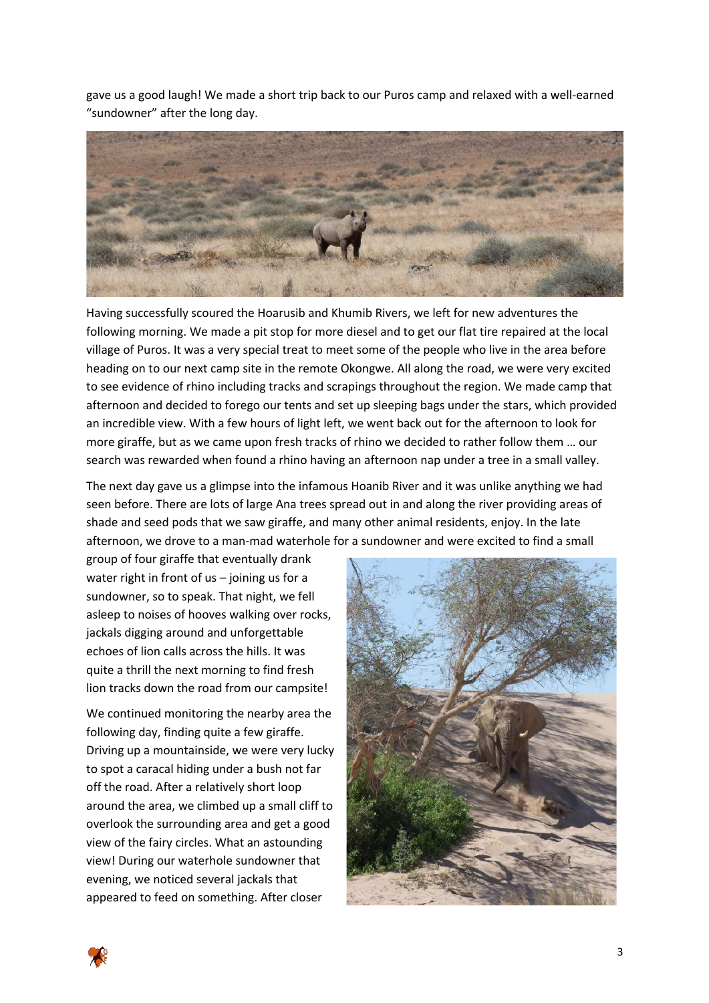gave us a good laugh! We made a short trip back to our Puros camp and relaxed with a well-earned "sundowner" after the long day.



Having successfully scoured the Hoarusib and Khumib Rivers, we left for new adventures the following morning. We made a pit stop for more diesel and to get our flat tire repaired at the local village of Puros. It was a very special treat to meet some of the people who live in the area before heading on to our next camp site in the remote Okongwe. All along the road, we were very excited to see evidence of rhino including tracks and scrapings throughout the region. We made camp that afternoon and decided to forego our tents and set up sleeping bags under the stars, which provided an incredible view. With a few hours of light left, we went back out for the afternoon to look for more giraffe, but as we came upon fresh tracks of rhino we decided to rather follow them … our search was rewarded when found a rhino having an afternoon nap under a tree in a small valley.

The next day gave us a glimpse into the infamous Hoanib River and it was unlike anything we had seen before. There are lots of large Ana trees spread out in and along the river providing areas of shade and seed pods that we saw giraffe, and many other animal residents, enjoy. In the late afternoon, we drove to a man-mad waterhole for a sundowner and were excited to find a small

group of four giraffe that eventually drank water right in front of us – joining us for a sundowner, so to speak. That night, we fell asleep to noises of hooves walking over rocks, jackals digging around and unforgettable echoes of lion calls across the hills. It was quite a thrill the next morning to find fresh lion tracks down the road from our campsite!

We continued monitoring the nearby area the following day, finding quite a few giraffe. Driving up a mountainside, we were very lucky to spot a caracal hiding under a bush not far off the road. After a relatively short loop around the area, we climbed up a small cliff to overlook the surrounding area and get a good view of the fairy circles. What an astounding view! During our waterhole sundowner that evening, we noticed several jackals that appeared to feed on something. After closer